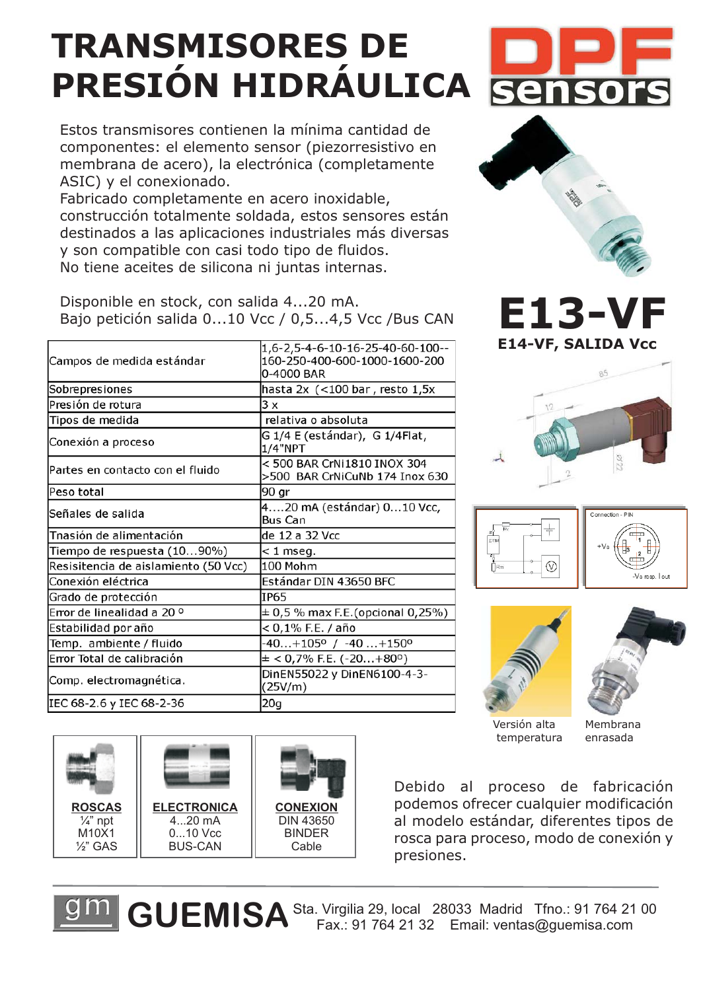## **TRANSMISORES DE PRESIÓN HIDRÁULICA**

Estos transmisores contienen la mínima cantidad de componentes: el elemento sensor (piezorresistivo en membrana de acero), la electrónica (completamente ASIC) y el conexionado.

Fabricado completamente en acero inoxidable, construcción totalmente soldada, estos sensores están destinados a las aplicaciones industriales más diversas y son compatible con casi todo tipo de fluidos. No tiene aceites de silicona ni juntas internas.

Disponible en stock, con salida 4...20 mA. Bajo petición salida 0...10 Vcc / 0,5...4,5 Vcc /Bus CAN  $\blacksquare$  **E**  $\blacksquare$  **B**  $\blacksquare$ 

| Campos de medida estándar            | 1,6-2,5-4-6-10-16-25-40-60-100--<br>160-250-400-600-1000-1600-200<br>0-4000 BAR |
|--------------------------------------|---------------------------------------------------------------------------------|
| Sobrepresiones                       | hasta 2x (<100 bar, resto 1,5x                                                  |
| Presión de rotura                    | 3x                                                                              |
| Tipos de medida                      | relativa o absoluta                                                             |
| Conexión a proceso                   | G 1/4 E (estándar),  G 1/4Flat,<br>1/4"NPT                                      |
| Partes en contacto con el fluido     | < 500 BAR CrNi1810 INOX 304<br>>500 BAR CrNiCuNb 174 Inox 630                   |
| Peso total                           | 90 gr                                                                           |
| Señales de salida                    | 420 mA (estándar) 010 Vcc,<br>Bus Can                                           |
| Tnasión de alimentación              | de 12 a 32 Vcc                                                                  |
| Tiempo de respuesta (1090%)          | $<$ 1 mseg.                                                                     |
| Resisitencia de aislamiento (50 Vcc) | 100 Mohm                                                                        |
| Conexión eléctrica                   | Estándar DIN 43650 BFC                                                          |
| Grado de protección                  | <b>IP65</b>                                                                     |
| Error de linealidad a 20 °           | $\pm$ 0,5 % max F.E.(opcional 0,25%)                                            |
| Estabilidad por año                  | < 0,1% F.E. / año                                                               |
| Temp. ambiente / fluido              | -40+105° / -40+150°                                                             |
| Error Total de calibración           | $\pm$ < 0,7% F.E. (-20+80°)                                                     |
| Comp. electromagnética.              | DinEN55022 y DinEN6100-4-3-<br>(25V/m)                                          |
| IEC 68-2.6 y IEC 68-2-36             | 20g                                                                             |
|                                      |                                                                                 |











Versión alta temperatura

Membrana enrasada

Debido al proceso de fabricación podemos ofrecer cualquier modificación al modelo estándar, diferentes tipos de rosca para proceso, modo de conexión y presiones.

GUEMISA Sta. Virgilia 29, local 28033 Madrid Tfno.: 91 764 21 00

**ROSCAS** ¼" npt M10X1 ½" GAS **CONEXION** DIN 43650 BINDER Cable **ELECTRONICA** 4...20 mA 0...10 Vcc BUS-CAN